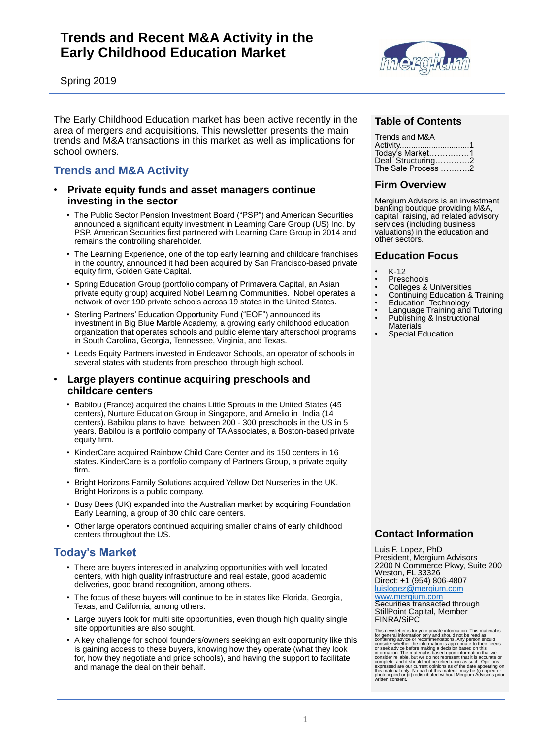# **Trends and Recent M&A Activity in the Early Childhood Education Market**



Spring 2019

The Early Childhood Education market has been active recently in the area of mergers and acquisitions. This newsletter presents the main trends and M&A transactions in this market as well as implications for school owners.

## **Trends and M&A Activity**

#### • **Private equity funds and asset managers continue investing in the sector**

- The Public Sector Pension Investment Board ("PSP") and American Securities announced a significant equity investment in Learning Care Group (US) Inc. by PSP. American Securities first partnered with Learning Care Group in 2014 and remains the controlling shareholder.
- The Learning Experience, one of the top early learning and childcare franchises in the country, announced it had been acquired by San Francisco-based private equity firm, Golden Gate Capital.
- Spring Education Group (portfolio company of Primavera Capital, an Asian private equity group) acquired Nobel Learning Communities. Nobel operates a network of over 190 private schools across 19 states in the United States.
- Sterling Partners' Education Opportunity Fund ("EOF") announced its investment in Big Blue Marble Academy, a growing early childhood education organization that operates schools and public elementary afterschool programs in South Carolina, Georgia, Tennessee, Virginia, and Texas.
- Leeds Equity Partners invested in Endeavor Schools, an operator of schools in several states with students from preschool through high school.

#### • **Large players continue acquiring preschools and childcare centers**

- Babilou (France) acquired the chains Little Sprouts in the United States (45 centers), Nurture Education Group in Singapore, and Amelio in India (14 centers). Babilou plans to have between 200 - 300 preschools in the US in 5 years. Babilou is a portfolio company of TA Associates, a Boston-based private equity firm.
- KinderCare acquired Rainbow Child Care Center and its 150 centers in 16 states. KinderCare is a portfolio company of Partners Group, a private equity firm.
- Bright Horizons Family Solutions acquired Yellow Dot Nurseries in the UK. Bright Horizons is a public company.
- Busy Bees (UK) expanded into the Australian market by acquiring Foundation Early Learning, a group of 30 child care centers.

• Other large operators continued acquiring smaller chains of early childhood centers throughout the US.

# **Today's Market**

- There are buyers interested in analyzing opportunities with well located centers, with high quality infrastructure and real estate, good academic deliveries, good brand recognition, among others.
- The focus of these buyers will continue to be in states like Florida, Georgia, Texas, and California, among others.
- Large buyers look for multi site opportunities, even though high quality single site opportunities are also sought.
- A key challenge for school founders/owners seeking an exit opportunity like this is gaining access to these buyers, knowing how they operate (what they look for, how they negotiate and price schools), and having the support to facilitate and manage the deal on their behalf.

### **Table of Contents**

| Trends and M&A     |
|--------------------|
|                    |
| Today's Market1    |
| Deal Structuring2  |
| The Sale Process 2 |

### **Firm Overview**

Mergium Advisors is an investment banking boutique providing M&A, capital raising, ad related advisory services (including business valuations) in the education and other sectors.

#### **Education Focus**

- $K-12$
- **Preschools**
- Colleges & Universities
- Continuing Education & Training
- Education Technology
- Language Training and Tutoring • Publishing & Instructional
- **Materials**
- **Special Education**

#### **Contact Information**

Luis F. Lopez, PhD President, Mergium Advisors 2200 N Commerce Pkwy, Suite 200 Weston, FL 33326 Direct: +1 (954) 806-4807 [luislopez@mergium.com](mailto:luislopez@mergium.com)

#### [www.mergium.com](http://www.mergium.com/)

Securities transacted through StillPoint Capital, Member FINRA/SiPC

This newsletter is for your private information. This material is for general information only and should not be read as containing advice or recommendations. Any person should consider whether the information is appropriate to their needs or seek advice before making a decision based on this information. The material is based upon information that we consider reliable, but we do not represent that it is accurate or complete, and it should not be relied upon as such. Opinions expressed are our current opinions as of the date appearing on this material only. No part of this material may be (i) copied or photocopied or (ii) redistributed without Mergium Advisor's prior written consent.